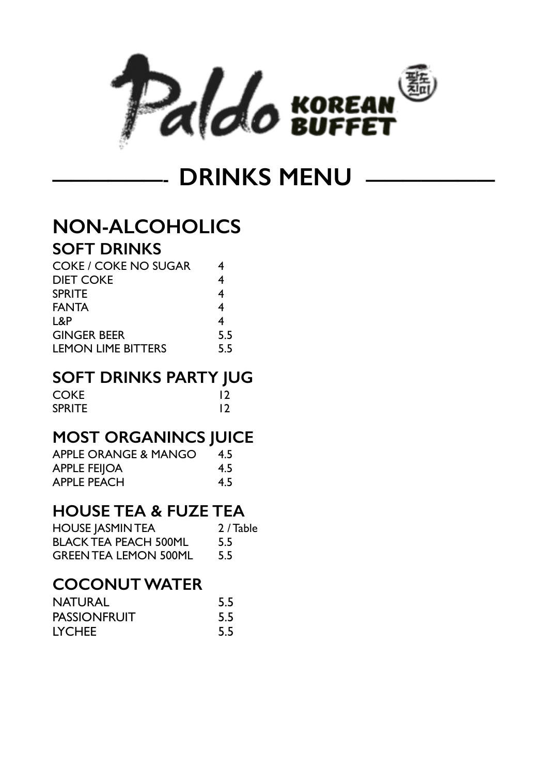

**DRINKS MENU ——** 

# **NON-ALCOHOLICS**

## **SOFT DRINKS**

| <b>COKE / COKE NO SUGAR</b> | 4   |
|-----------------------------|-----|
| <b>DIET COKE</b>            | 4   |
| <b>SPRITE</b>               | 4   |
| <b>FANTA</b>                | 4   |
| L&P                         | 4   |
| <b>GINGER BEER</b>          | 5.5 |
| <b>LEMON LIME BITTERS</b>   | 55  |

### **SOFT DRINKS PARTY JUG**

| <b>COKE</b>   | 12 |
|---------------|----|
| <b>SPRITE</b> | 12 |

# **MOST ORGANINCS JUICE**

| <b>APPLE ORANGE &amp; MANGO</b> | 4.5 |
|---------------------------------|-----|
| <b>APPLE FEIJOA</b>             | 4.5 |
| <b>APPLE PEACH</b>              | 4.5 |

# **HOUSE TEA & FUZE TEA**

| <b>HOUSE JASMIN TEA</b>      | 2 / Table |
|------------------------------|-----------|
| <b>BLACK TEA PEACH 500ML</b> | 5.5       |
| <b>GREEN TEA LEMON 500ML</b> | 5.5       |

## **COCONUT WATER**

| <b>NATURAL</b>      | 5.5 |
|---------------------|-----|
| <b>PASSIONFRUIT</b> | 5.5 |
| <b>LYCHEE</b>       | 5.5 |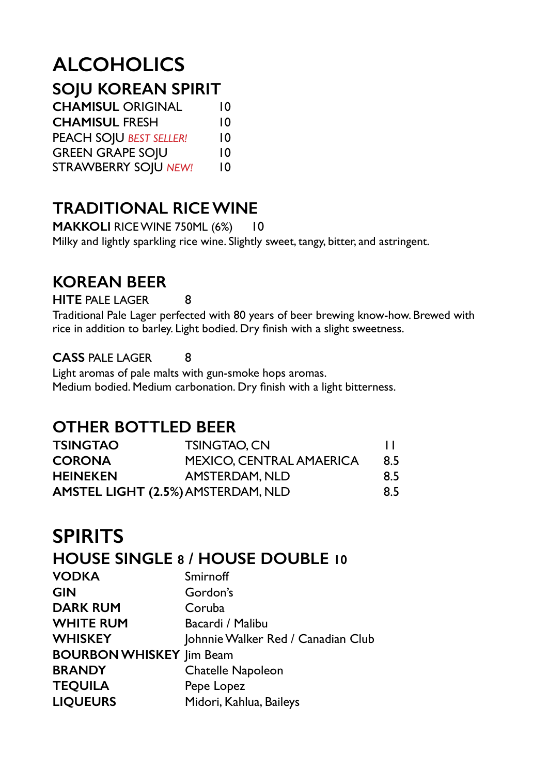# **ALCOHOLICS**

# **SOJU KOREAN SPIRIT**

| <b>CHAMISUL ORIGINAL</b>       | 10 |
|--------------------------------|----|
| <b>CHAMISUL FRESH</b>          | 10 |
| <b>PEACH SOJU BEST SELLER!</b> | 10 |
| <b>GREEN GRAPE SOJU</b>        | 10 |
| <b>STRAWBERRY SOJU NEW!</b>    | 10 |

# **TRADITIONAL RICE WINE**

**MAKKOLI** RICE WINE 750ML (6%) 10 Milky and lightly sparkling rice wine. Slightly sweet, tangy, bitter, and astringent.

# **KOREAN BEER**

**HITE** PALE LAGER 8

Traditional Pale Lager perfected with 80 years of beer brewing know-how. Brewed with rice in addition to barley. Light bodied. Dry finish with a slight sweetness.

#### **CASS** PALE LAGER 8

Light aromas of pale malts with gun-smoke hops aromas. Medium bodied. Medium carbonation. Dry finish with a light bitterness.

### **OTHER BOTTLED BEER**

| <b>TSINGTAO</b> | <b>TSINGTAO, CN</b>                       |     |
|-----------------|-------------------------------------------|-----|
| <b>CORONA</b>   | <b>MEXICO, CENTRAL AMAERICA</b>           | 8.5 |
| <b>HEINEKEN</b> | AMSTERDAM, NLD                            | 8.5 |
|                 | <b>AMSTEL LIGHT (2.5%) AMSTERDAM, NLD</b> | 8.5 |

# **SPIRITS**

#### **HOUSE SINGLE 8 / HOUSE DOUBLE 10**

| <b>VODKA</b>                    | Smirnoff                           |
|---------------------------------|------------------------------------|
| <b>GIN</b>                      | Gordon's                           |
| <b>DARK RUM</b>                 | Coruba                             |
| <b>WHITE RUM</b>                | Bacardi / Malibu                   |
| <b>WHISKEY</b>                  | Johnnie Walker Red / Canadian Club |
| <b>BOURBON WHISKEY Jim Beam</b> |                                    |
| <b>BRANDY</b>                   | <b>Chatelle Napoleon</b>           |
| <b>TEQUILA</b>                  | Pepe Lopez                         |
| <b>LIQUEURS</b>                 | Midori, Kahlua, Baileys            |